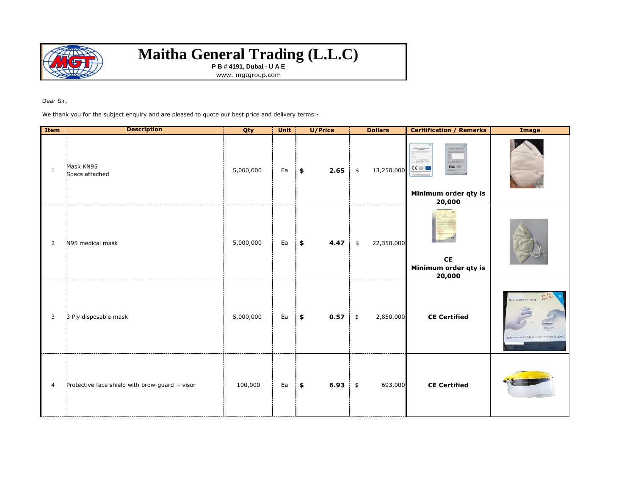

## **Maitha General Trading (L.L.C)**

**P B # 4191, Dubai - U A E** www. mgtgroup.com

Dear Sir,

We thank you for the subject enquiry and are pleased to quote our best price and delivery terms:-

| Item           | <b>Description</b>                             | Qty       | Unit | U/Price    |               | <b>Dollars</b> | <b>Ceritification / Remarks</b>                                                                    | <b>Image</b>                                                                                         |
|----------------|------------------------------------------------|-----------|------|------------|---------------|----------------|----------------------------------------------------------------------------------------------------|------------------------------------------------------------------------------------------------------|
| $\mathbf{1}$   | Mask KN95<br>Specs attached                    | 5,000,000 | Ea   | \$<br>2.65 | $\frac{4}{3}$ | 13,250,000     | Wate of Confus<br>1988<br>$\overline{m}$<br>$C \in \mathfrak{D}$<br>Minimum order qty is<br>20,000 |                                                                                                      |
| $\overline{2}$ | N95 medical mask                               | 5,000,000 | Ea   | \$<br>4.47 | $\frac{4}{5}$ | 22,350,000     | <b>CE</b><br>Minimum order qty is<br>20,000                                                        |                                                                                                      |
| 3              | 3 Ply disposable mask                          | 5,000,000 | Ea   | \$<br>0.57 | $\frac{4}{5}$ | 2,850,000      | <b>CE Certified</b>                                                                                | <b>ILE EXAMBIATION GLUYES</b><br><b>BER SPIELE USE ON!</b><br>MEMORY HE AND PERSON NAMED IN NOTICED. |
| 4              | Protective face shield with brow-guard + visor | 100,000   | Ea   | \$<br>6.93 | $\frac{1}{2}$ | 693,000        | <b>CE Certified</b>                                                                                |                                                                                                      |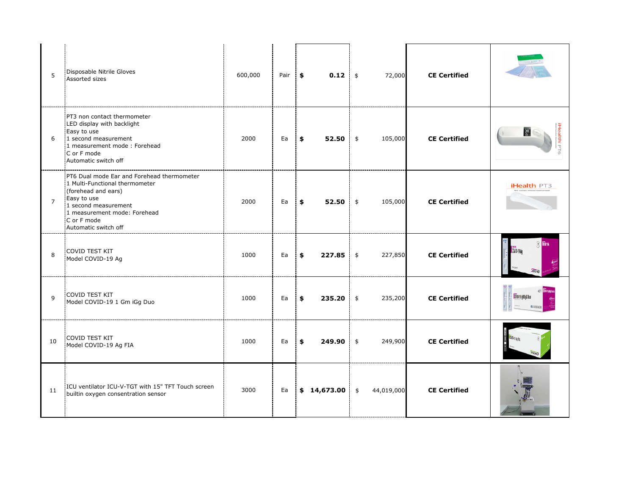| 5              | Disposable Nitrile Gloves<br>Assorted sizes                                                                                                                                                                       | 600,000 | Pair | \$            | 0.12        | \$<br>72,000     | <b>CE Certified</b> |                    |
|----------------|-------------------------------------------------------------------------------------------------------------------------------------------------------------------------------------------------------------------|---------|------|---------------|-------------|------------------|---------------------|--------------------|
| 6              | PT3 non contact thermometer<br>LED display with backlight<br>Easy to use<br>1 second measurement<br>1 measurement mode: Forehead<br>C or F mode<br>Automatic switch off                                           | 2000    | Ea   | \$            | 52.50       | \$<br>105,000    | <b>CE Certified</b> |                    |
| $\overline{7}$ | PT6 Dual mode Ear and Forehead thermometer<br>1 Multi-Functional thermometer<br>(forehead and ears)<br>Easy to use<br>1 second measurement<br>1 measurement mode: Forehead<br>C or F mode<br>Automatic switch off | 2000    | Ea   | \$            | 52.50       | \$<br>105,000    | <b>CE Certified</b> | <b>iHealth PT3</b> |
| 8              | <b>COVID TEST KIT</b><br>Model COVID-19 Ag                                                                                                                                                                        | 1000    | Ea   | $\frac{1}{2}$ | 227.85      | \$<br>227,850    | <b>CE Certified</b> | <b>Cia-sk</b>      |
| $\overline{9}$ | <b>COVID TEST KIT</b><br>Model COVID-19 1 Gm iGg Duo                                                                                                                                                              | 1000    | Ea   | \$            | 235.20      | \$<br>235,200    | <b>CE Certified</b> |                    |
| 10             | <b>COVID TEST KIT</b><br>Model COVID-19 Ag FIA                                                                                                                                                                    | 1000    | Ea   | \$            | 249.90      | \$<br>249,900    | <b>CE Certified</b> |                    |
| 11             | ICU ventilator ICU-V-TGT with 15" TFT Touch screen<br>builtin oxygen consentration sensor                                                                                                                         | 3000    | Ea   |               | \$14,673.00 | \$<br>44,019,000 | <b>CE Certified</b> |                    |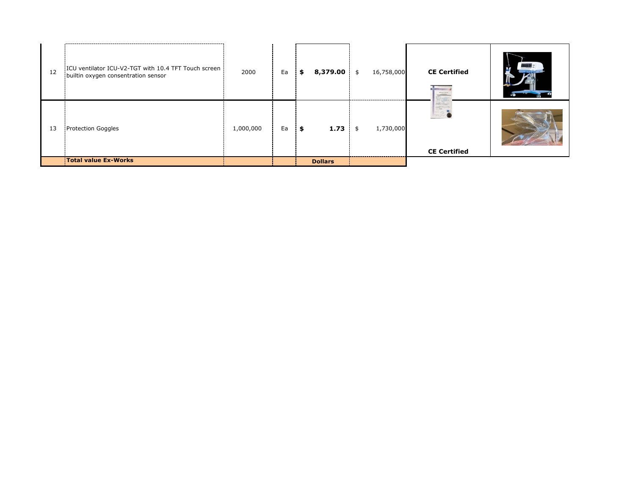| 12 | ICU ventilator ICU-V2-TGT with 10.4 TFT Touch screen<br>builtin oxygen consentration sensor | 2000      | Ea | \$<br>8,379.00 | \$<br>16,758,000 | <b>CE Certified</b><br>Theorem |  |
|----|---------------------------------------------------------------------------------------------|-----------|----|----------------|------------------|--------------------------------|--|
| 13 | Protection Goggles                                                                          | 1,000,000 | Ea | \$<br>1.73     | \$<br>1,730,000  | <b>CE Certified</b>            |  |
|    | <b>Total value Ex-Works</b>                                                                 |           |    | <b>Dollars</b> |                  |                                |  |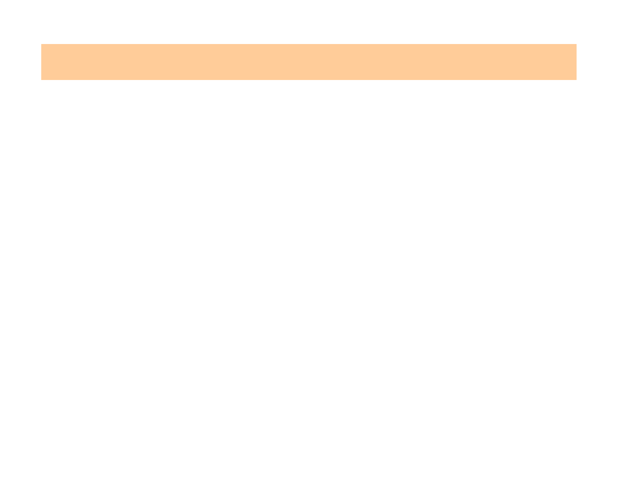